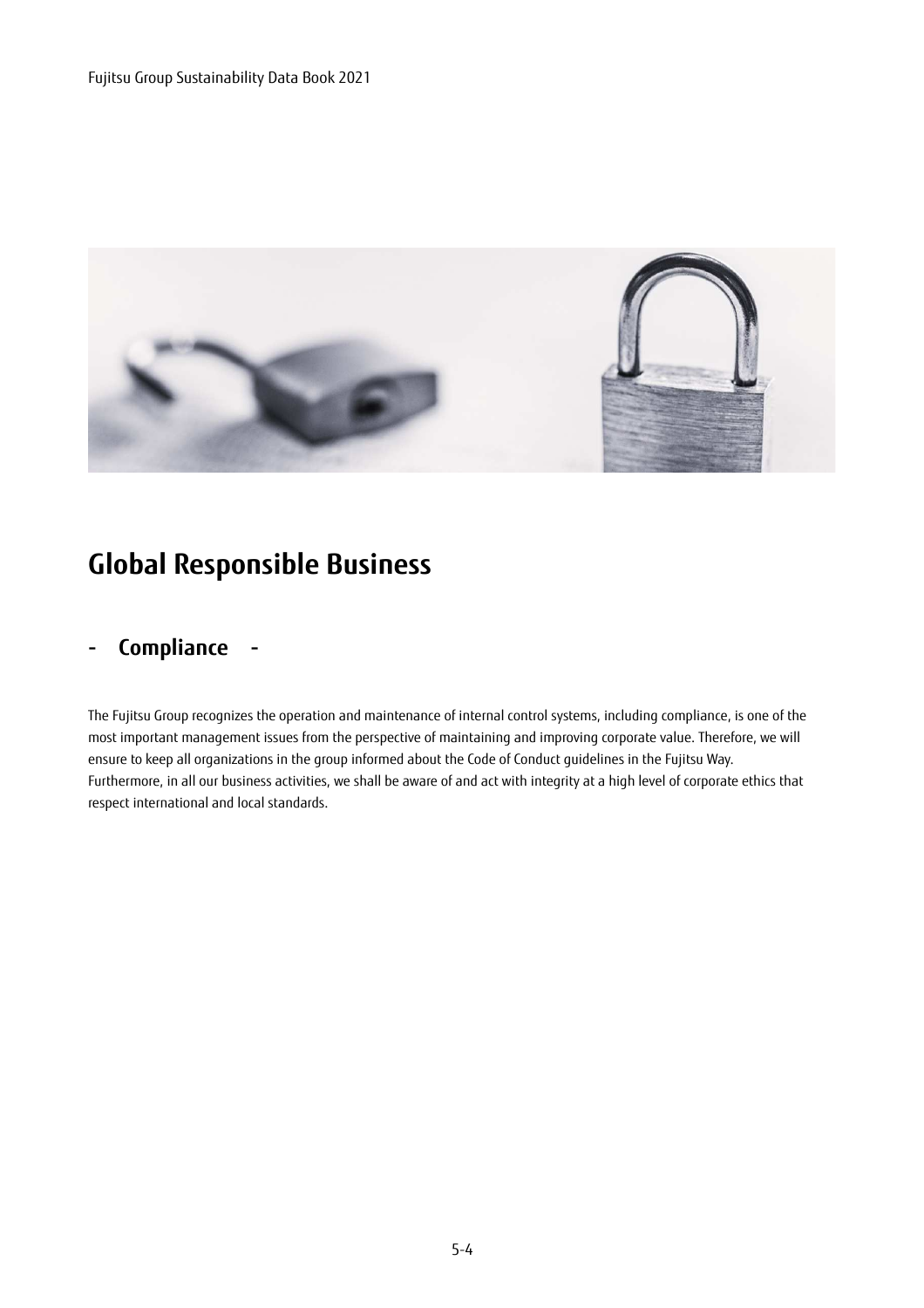

# **Global Responsible Business**

### **- Compliance -**

The Fujitsu Group recognizes the operation and maintenance of internal control systems, including compliance, is one of the most important management issues from the perspective of maintaining and improving corporate value. Therefore, we will ensure to keep all organizations in the group informed about the Code of Conduct guidelines in the Fujitsu Way. Furthermore, in all our business activities, we shall be aware of and act with integrity at a high level of corporate ethics that respect international and local standards.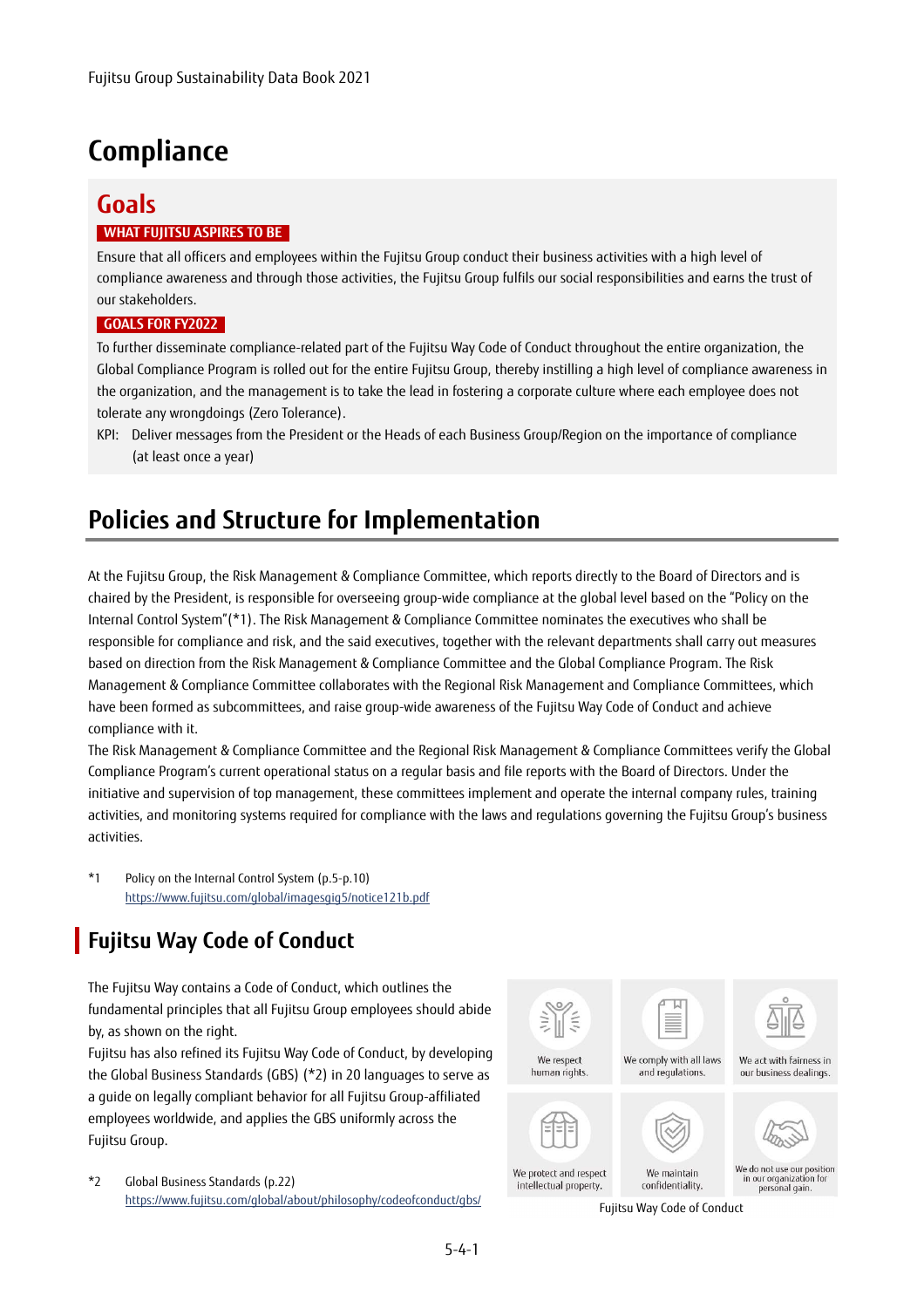# **Compliance**

### **Goals WHAT FUJITSU ASPIRES TO BE**

Ensure that all officers and employees within the Fujitsu Group conduct their business activities with a high level of compliance awareness and through those activities, the Fujitsu Group fulfils our social responsibilities and earns the trust of our stakeholders.

#### **GOALS FOR FY2022**

To further disseminate compliance-related part of the Fujitsu Way Code of Conduct throughout the entire organization, the Global Compliance Program is rolled out for the entire Fujitsu Group, thereby instilling a high level of compliance awareness in the organization, and the management is to take the lead in fostering a corporate culture where each employee does not tolerate any wrongdoings (Zero Tolerance).

KPI: Deliver messages from the President or the Heads of each Business Group/Region on the importance of compliance (at least once a year)

# **Policies and Structure for Implementation**

At the Fujitsu Group, the Risk Management & Compliance Committee, which reports directly to the Board of Directors and is chaired by the President, is responsible for overseeing group-wide compliance at the global level based on the "Policy on the Internal Control System"(\*1). The Risk Management & Compliance Committee nominates the executives who shall be responsible for compliance and risk, and the said executives, together with the relevant departments shall carry out measures based on direction from the Risk Management & Compliance Committee and the Global Compliance Program. The Risk Management & Compliance Committee collaborates with the Regional Risk Management and Compliance Committees, which have been formed as subcommittees, and raise group-wide awareness of the Fujitsu Way Code of Conduct and achieve compliance with it.

The Risk Management & Compliance Committee and the Regional Risk Management & Compliance Committees verify the Global Compliance Program's current operational status on a regular basis and file reports with the Board of Directors. Under the initiative and supervision of top management, these committees implement and operate the internal company rules, training activities, and monitoring systems required for compliance with the laws and regulations governing the Fujitsu Group's business activities.

\*1 Policy on the Internal Control System (p.5-p.10) https://www.fujitsu.com/global/imagesgig5/notice121b.pdf

## **Fujitsu Way Code of Conduct**

The Fujitsu Way contains a Code of Conduct, which outlines the fundamental principles that all Fujitsu Group employees should abide by, as shown on the right.

Fujitsu has also refined its Fujitsu Way Code of Conduct, by developing the Global Business Standards (GBS) (\*2) in 20 languages to serve as a guide on legally compliant behavior for all Fujitsu Group-affiliated employees worldwide, and applies the GBS uniformly across the Fujitsu Group.

\*2 Global Business Standards (p.22) https://www.fujitsu.com/global/about/philosophy/codeofconduct/gbs/ Fujitsu Way Code of Conduct

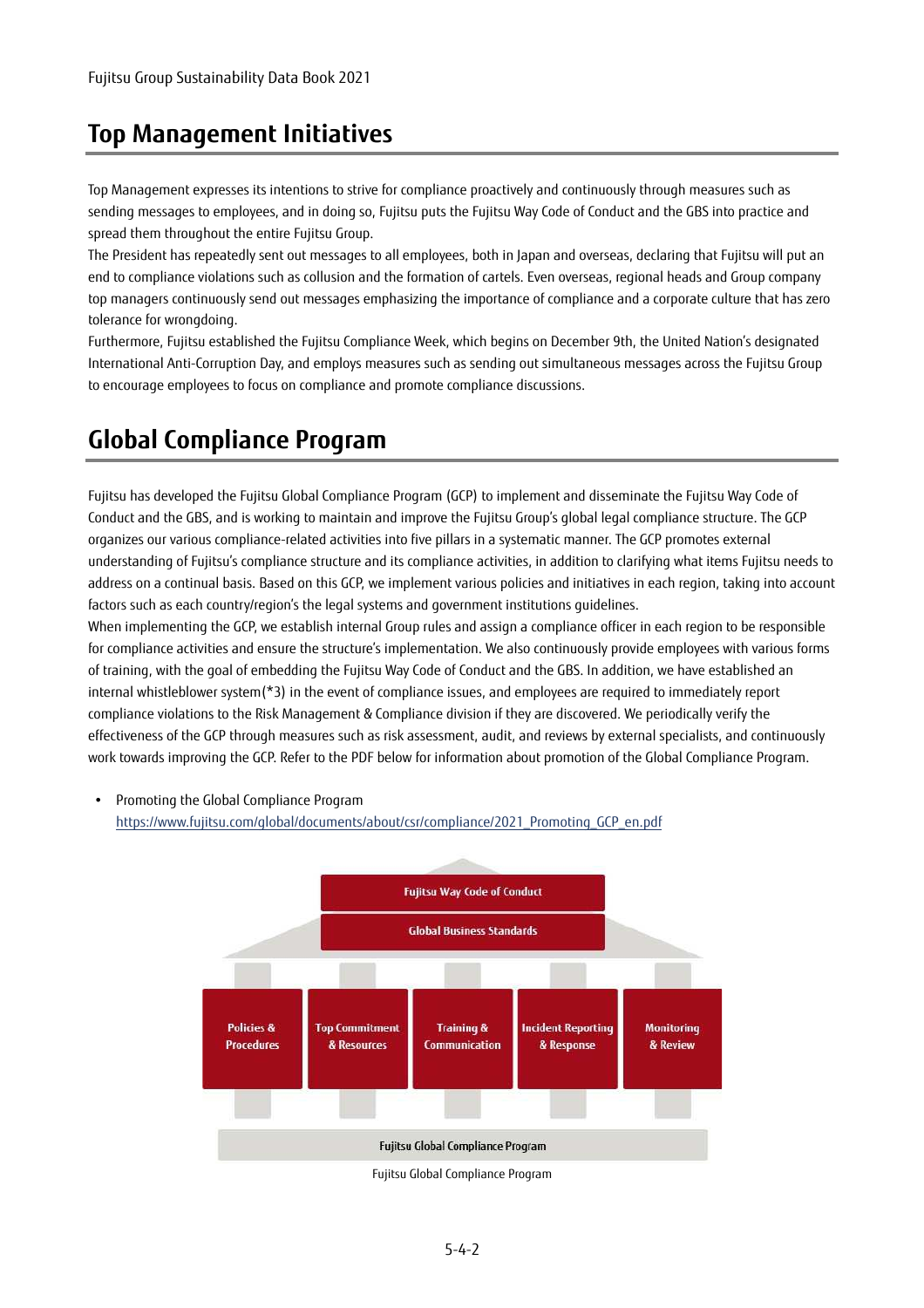### **Top Management Initiatives**

Top Management expresses its intentions to strive for compliance proactively and continuously through measures such as sending messages to employees, and in doing so, Fujitsu puts the Fujitsu Way Code of Conduct and the GBS into practice and spread them throughout the entire Fujitsu Group.

The President has repeatedly sent out messages to all employees, both in Japan and overseas, declaring that Fujitsu will put an end to compliance violations such as collusion and the formation of cartels. Even overseas, regional heads and Group company top managers continuously send out messages emphasizing the importance of compliance and a corporate culture that has zero tolerance for wrongdoing.

Furthermore, Fujitsu established the Fujitsu Compliance Week, which begins on December 9th, the United Nation's designated International Anti-Corruption Day, and employs measures such as sending out simultaneous messages across the Fujitsu Group to encourage employees to focus on compliance and promote compliance discussions.

# **Global Compliance Program**

Fujitsu has developed the Fujitsu Global Compliance Program (GCP) to implement and disseminate the Fujitsu Way Code of Conduct and the GBS, and is working to maintain and improve the Fujitsu Group's global legal compliance structure. The GCP organizes our various compliance-related activities into five pillars in a systematic manner. The GCP promotes external understanding of Fujitsu's compliance structure and its compliance activities, in addition to clarifying what items Fujitsu needs to address on a continual basis. Based on this GCP, we implement various policies and initiatives in each region, taking into account factors such as each country/region's the legal systems and government institutions guidelines.

When implementing the GCP, we establish internal Group rules and assign a compliance officer in each region to be responsible for compliance activities and ensure the structure's implementation. We also continuously provide employees with various forms of training, with the goal of embedding the Fujitsu Way Code of Conduct and the GBS. In addition, we have established an internal whistleblower system(\*3) in the event of compliance issues, and employees are required to immediately report compliance violations to the Risk Management & Compliance division if they are discovered. We periodically verify the effectiveness of the GCP through measures such as risk assessment, audit, and reviews by external specialists, and continuously work towards improving the GCP. Refer to the PDF below for information about promotion of the Global Compliance Program.

 Promoting the Global Compliance Program https://www.fujitsu.com/global/documents/about/csr/compliance/2021\_Promoting\_GCP\_en.pdf



Fujitsu Global Compliance Program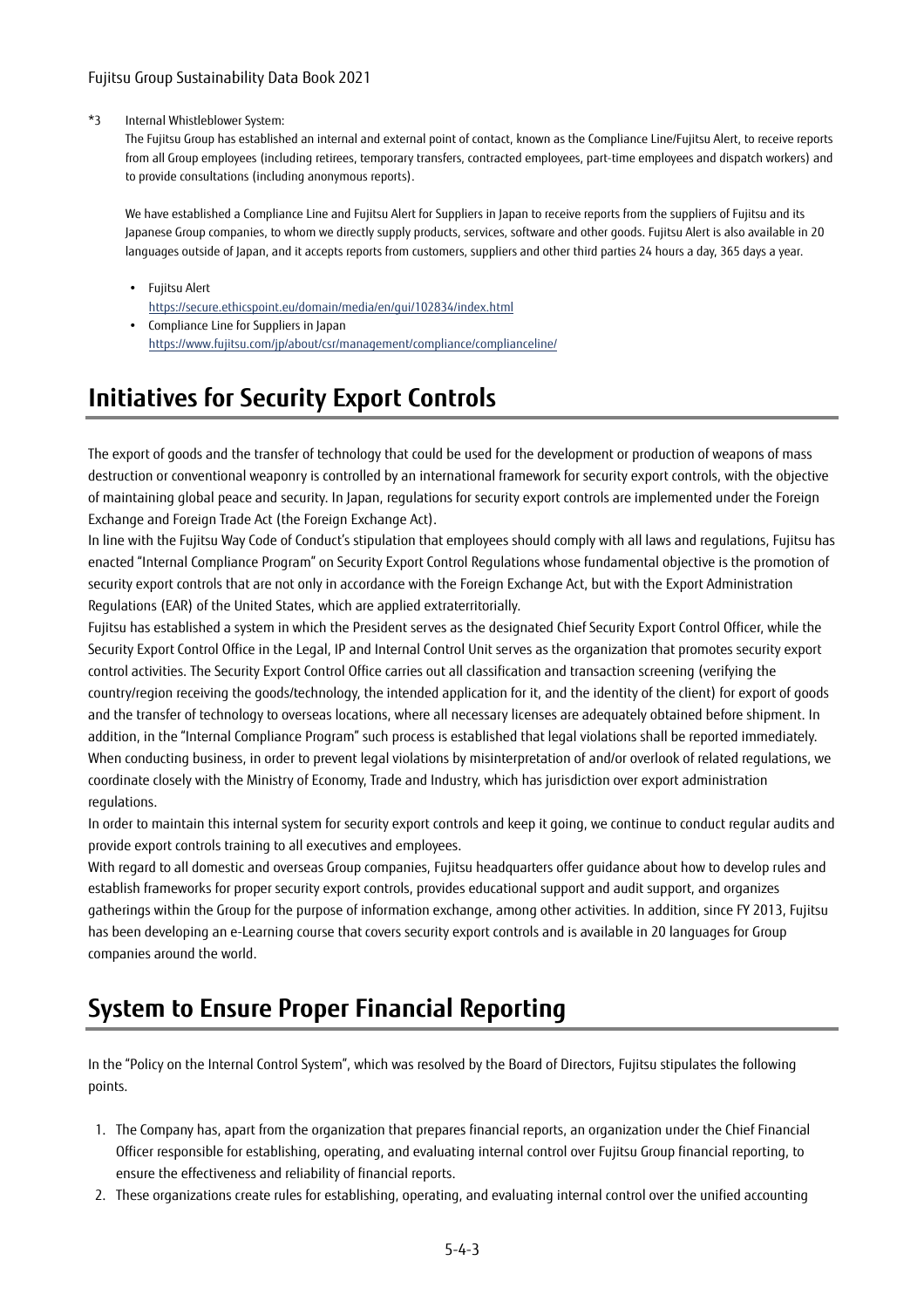#### \*3 Internal Whistleblower System:

The Fujitsu Group has established an internal and external point of contact, known as the Compliance Line/Fujitsu Alert, to receive reports from all Group employees (including retirees, temporary transfers, contracted employees, part-time employees and dispatch workers) and to provide consultations (including anonymous reports).

We have established a Compliance Line and Fujitsu Alert for Suppliers in Japan to receive reports from the suppliers of Fujitsu and its Japanese Group companies, to whom we directly supply products, services, software and other goods. Fujitsu Alert is also available in 20 languages outside of Japan, and it accepts reports from customers, suppliers and other third parties 24 hours a day, 365 days a year.

- Fujitsu Alert https://secure.ethicspoint.eu/domain/media/en/gui/102834/index.html
- Compliance Line for Suppliers in Japan https://www.fujitsu.com/jp/about/csr/management/compliance/complianceline/

# **Initiatives for Security Export Controls**

The export of goods and the transfer of technology that could be used for the development or production of weapons of mass destruction or conventional weaponry is controlled by an international framework for security export controls, with the objective of maintaining global peace and security. In Japan, regulations for security export controls are implemented under the Foreign Exchange and Foreign Trade Act (the Foreign Exchange Act).

In line with the Fujitsu Way Code of Conduct's stipulation that employees should comply with all laws and regulations, Fujitsu has enacted "Internal Compliance Program" on Security Export Control Regulations whose fundamental objective is the promotion of security export controls that are not only in accordance with the Foreign Exchange Act, but with the Export Administration Regulations (EAR) of the United States, which are applied extraterritorially.

Fujitsu has established a system in which the President serves as the designated Chief Security Export Control Officer, while the Security Export Control Office in the Legal, IP and Internal Control Unit serves as the organization that promotes security export control activities. The Security Export Control Office carries out all classification and transaction screening (verifying the country/region receiving the goods/technology, the intended application for it, and the identity of the client) for export of goods and the transfer of technology to overseas locations, where all necessary licenses are adequately obtained before shipment. In addition, in the "Internal Compliance Program" such process is established that legal violations shall be reported immediately. When conducting business, in order to prevent legal violations by misinterpretation of and/or overlook of related regulations, we coordinate closely with the Ministry of Economy, Trade and Industry, which has jurisdiction over export administration regulations.

In order to maintain this internal system for security export controls and keep it going, we continue to conduct regular audits and provide export controls training to all executives and employees.

With regard to all domestic and overseas Group companies, Fujitsu headquarters offer guidance about how to develop rules and establish frameworks for proper security export controls, provides educational support and audit support, and organizes gatherings within the Group for the purpose of information exchange, among other activities. In addition, since FY 2013, Fujitsu has been developing an e-Learning course that covers security export controls and is available in 20 languages for Group companies around the world.

# **System to Ensure Proper Financial Reporting**

In the "Policy on the Internal Control System", which was resolved by the Board of Directors, Fujitsu stipulates the following points.

- 1. The Company has, apart from the organization that prepares financial reports, an organization under the Chief Financial Officer responsible for establishing, operating, and evaluating internal control over Fujitsu Group financial reporting, to ensure the effectiveness and reliability of financial reports.
- 2. These organizations create rules for establishing, operating, and evaluating internal control over the unified accounting